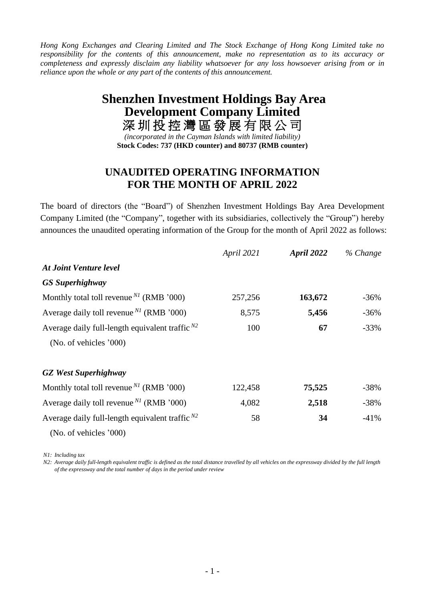*Hong Kong Exchanges and Clearing Limited and The Stock Exchange of Hong Kong Limited take no responsibility for the contents of this announcement, make no representation as to its accuracy or completeness and expressly disclaim any liability whatsoever for any loss howsoever arising from or in reliance upon the whole or any part of the contents of this announcement.*

## **Shenzhen Investment Holdings Bay Area Development Company Limited** 深圳 投 控 灣 區 發 展 有 限 公 司

*(incorporated in the Cayman Islands with limited liability)* **Stock Codes: 737 (HKD counter) and 80737 (RMB counter)**

## **UNAUDITED OPERATING INFORMATION FOR THE MONTH OF APRIL 2022**

The board of directors (the "Board") of Shenzhen Investment Holdings Bay Area Development Company Limited (the "Company", together with its subsidiaries, collectively the "Group") hereby announces the unaudited operating information of the Group for the month of April 2022 as follows:

|                                                                  | April 2021 | April 2022 | % Change |
|------------------------------------------------------------------|------------|------------|----------|
| <b>At Joint Venture level</b>                                    |            |            |          |
| <b>GS</b> Superhighway                                           |            |            |          |
| Monthly total toll revenue $^{N1}$ (RMB '000)                    | 257,256    | 163,672    | $-36\%$  |
| Average daily toll revenue <sup><math>NI</math></sup> (RMB '000) | 8,575      | 5,456      | $-36%$   |
| Average daily full-length equivalent traffic $^{N2}$             | 100        | 67         | $-33%$   |
| (No. of vehicles '000)                                           |            |            |          |
| <b>GZ</b> West Superhighway                                      |            |            |          |
| Monthly total toll revenue $^{N}$ (RMB '000)                     | 122,458    | 75,525     | $-38%$   |
| Average daily toll revenue $^{N1}$ (RMB '000)                    | 4,082      | 2,518      | $-38%$   |
| Average daily full-length equivalent traffic $^{N2}$             | 58         | 34         | $-41%$   |
| (No. of vehicles '000)                                           |            |            |          |

*N1: Including tax*

*N2: Average daily full-length equivalent traffic is defined as the total distance travelled by all vehicles on the expressway divided by the full length of the expressway and the total number of days in the period under review*